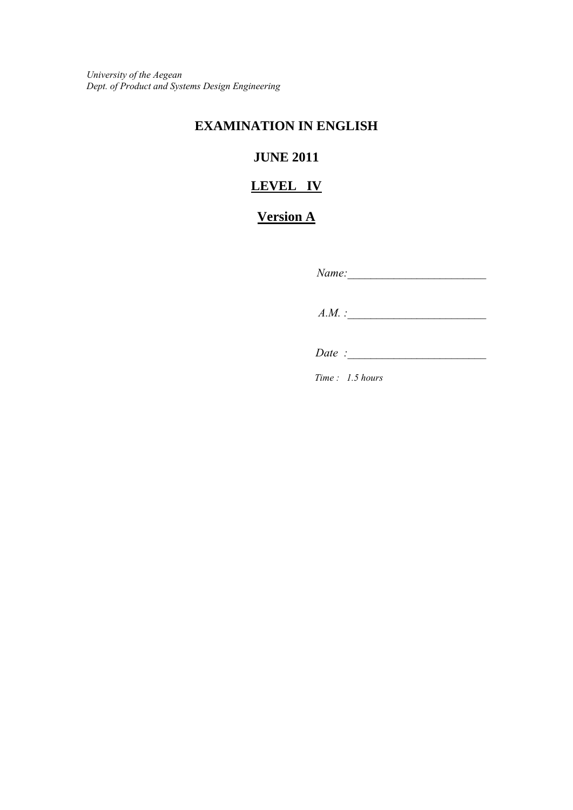*University of the Aegean Dept. of Product and Systems Design Engineering*

## **EXAMINATION IN ENGLISH**

# **JUNE 2011**

## **LEVEL IV**

# **Version A**

*Name:\_\_\_\_\_\_\_\_\_\_\_\_\_\_\_\_\_\_\_\_\_\_\_\_* 

 *A.M. :\_\_\_\_\_\_\_\_\_\_\_\_\_\_\_\_\_\_\_\_\_\_\_\_* 

*Date* :

*Time : 1.5 hours*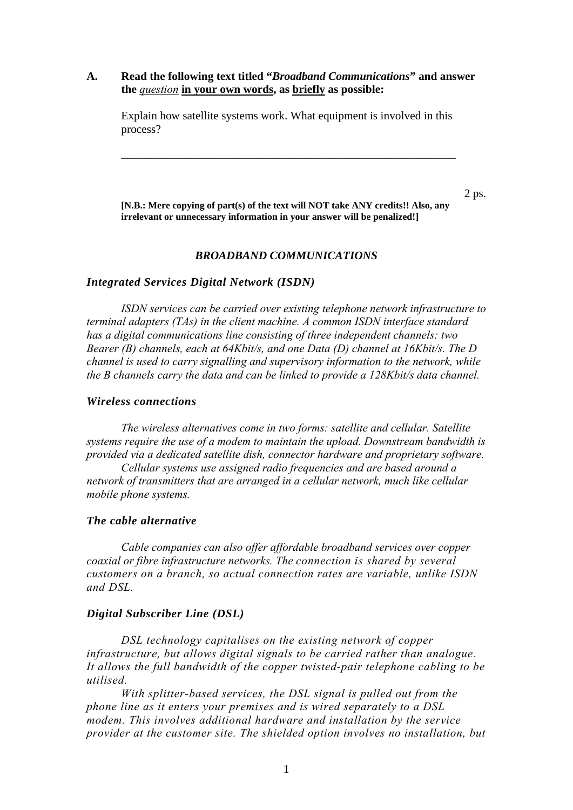## **A. Read the following text titled "***Broadband Communications***" and answer the** *question* **in your own words, as briefly as possible:**

Explain how satellite systems work. What equipment is involved in this process?

\_\_\_\_\_\_\_\_\_\_\_\_\_\_\_\_\_\_\_\_\_\_\_\_\_\_\_\_\_\_\_\_\_\_\_\_\_\_\_\_\_\_\_\_\_\_\_\_\_\_\_\_\_\_\_\_\_\_

 $2 \text{ ps.}$ **[N.B.: Mere copying of part(s) of the text will NOT take ANY credits!! Also, any irrelevant or unnecessary information in your answer will be penalized!]**

#### *BROADBAND COMMUNICATIONS*

#### *Integrated Services Digital Network (ISDN)*

 *ISDN services can be carried over existing telephone network infrastructure to terminal adapters (TAs) in the client machine. A common ISDN interface standard has a digital communications line consisting of three independent channels: two Bearer (B) channels, each at 64Kbit/s, and one Data (D) channel at 16Kbit/s. The D channel is used to carry signalling and supervisory information to the network, while the Β channels carry the data and can be linked to provide a 128Kbit/s data channel.* 

## *Wireless connections*

 *The wireless alternatives come in two forms: satellite and cellular. Satellite systems require the use of a modem to maintain the upload. Downstream bandwidth is provided via a dedicated satellite dish, connector hardware and proprietary software.* 

 *Cellular systems use assigned radio frequencies and are based around a network of transmitters that are arranged in a cellular network, much like cellular mobile phone systems.* 

## *The cable alternative*

 *Cable companies can also offer affordable broadband services over copper coaxial or fibre infrastructure networks. The connection is shared by several customers on a branch, so actual connection rates are variable, unlike ISDN and DSL.* 

#### *Digital Subscriber Line (DSL)*

*DSL technology capitalises on the existing network of copper infrastructure, but allows digital signals to be carried rather than analogue. It allows the full bandwidth of the copper twisted-pair telephone cabling to be utilised.* 

 *With splitter-based services, the DSL signal is pulled out from the phone line as it enters your premises and is wired separately to a DSL modem. This involves additional hardware and installation by the service provider at the customer site. The shielded option involves no installation, but*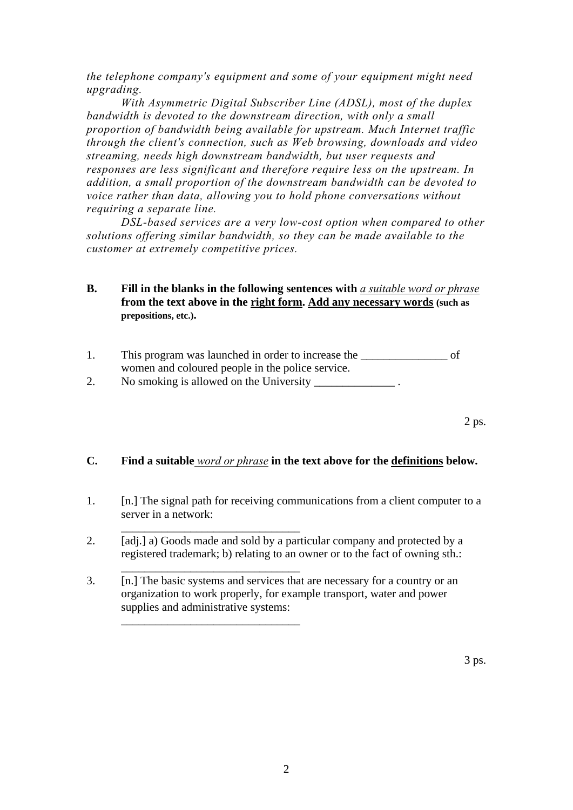*the telephone company's equipment and some of your equipment might need upgrading.* 

 *With Asymmetric Digital Subscriber Line (ADSL), most of the duplex bandwidth is devoted to the downstream direction, with only a small proportion of bandwidth being available for upstream. Much Internet traffic through the client's connection, such as Web browsing, downloads and video streaming, needs high downstream bandwidth, but user requests and responses are less significant and therefore require less on the upstream. In addition, a small proportion of the downstream bandwidth can be devoted to voice rather than data, allowing you to hold phone conversations without requiring a separate line.* 

 *DSL-based services are a very low-cost option when compared to other solutions offering similar bandwidth, so they can be made available to the customer at extremely competitive prices.* 

- **B. Fill in the blanks in the following sentences with** *a suitable word or phrase* **from the text above in the right form. Add any necessary words (such as prepositions, etc.).**
- 1. This program was launched in order to increase the of women and coloured people in the police service. 2. No smoking is allowed on the University 1.
	- $2 \text{ ps.}$

## **C. Find a suitable** *word or phrase* **in the text above for the definitions below.**

- 1. [n.] The signal path for receiving communications from a client computer to a server in a network:
- 2. [adj.] a) Goods made and sold by a particular company and protected by a registered trademark; b) relating to an owner or to the fact of owning sth.:

\_\_\_\_\_\_\_\_\_\_\_\_\_\_\_\_\_\_\_\_\_\_\_\_\_\_\_\_\_\_\_

\_\_\_\_\_\_\_\_\_\_\_\_\_\_\_\_\_\_\_\_\_\_\_\_\_\_\_\_\_\_\_

 $\overline{\phantom{a}}$  ,  $\overline{\phantom{a}}$  ,  $\overline{\phantom{a}}$  ,  $\overline{\phantom{a}}$  ,  $\overline{\phantom{a}}$  ,  $\overline{\phantom{a}}$  ,  $\overline{\phantom{a}}$  ,  $\overline{\phantom{a}}$  ,  $\overline{\phantom{a}}$  ,  $\overline{\phantom{a}}$  ,  $\overline{\phantom{a}}$  ,  $\overline{\phantom{a}}$  ,  $\overline{\phantom{a}}$  ,  $\overline{\phantom{a}}$  ,  $\overline{\phantom{a}}$  ,  $\overline{\phantom{a}}$ 

3. [n.] The basic systems and services that are necessary for a country or an organization to work properly, for example transport, water and power supplies and administrative systems: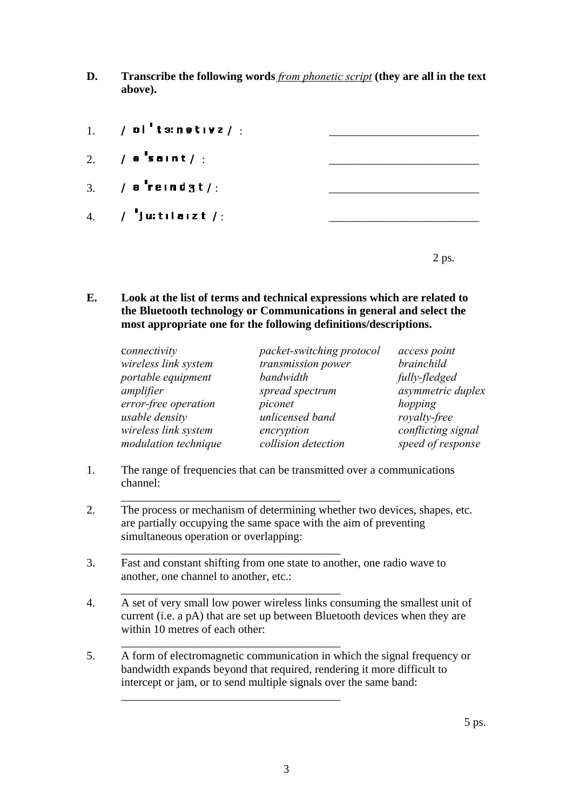**D. Transcribe the following words** *from phonetic script* **(they are all in the text above).** 

| 1. $\sqrt{p}$ b $\frac{1}{2}$ t s: n e t i v z $\frac{1}{2}$ . |  |
|----------------------------------------------------------------|--|
| 2. $\angle$ a saint $\angle$ :                                 |  |
| 3. $\angle$ a reind 3t $\angle$ :                              |  |
| 4. / ju: til aiz t /:                                          |  |
|                                                                |  |

 $2 \text{ ps.}$ 

**E. Look at the list of terms and technical expressions which are related to the Bluetooth technology or Communications in general and select the most appropriate one for the following definitions/descriptions.**

| connectivity         | packet-switching protocol | access point       |
|----------------------|---------------------------|--------------------|
| wireless link system | transmission power        | brainchild         |
| portable equipment   | bandwidth                 | fully-fledged      |
| amplifier            | spread spectrum           | asymmetric duplex  |
| error-free operation | piconet                   | hopping            |
| usable density       | unlicensed band           | royalty-free       |
| wireless link system | encryption                | conflicting signal |
| modulation technique | collision detection       | speed of response  |

1. The range of frequencies that can be transmitted over a communications channel:

 $\frac{1}{2}$  ,  $\frac{1}{2}$  ,  $\frac{1}{2}$  ,  $\frac{1}{2}$  ,  $\frac{1}{2}$  ,  $\frac{1}{2}$  ,  $\frac{1}{2}$  ,  $\frac{1}{2}$  ,  $\frac{1}{2}$  ,  $\frac{1}{2}$  ,  $\frac{1}{2}$  ,  $\frac{1}{2}$  ,  $\frac{1}{2}$  ,  $\frac{1}{2}$  ,  $\frac{1}{2}$  ,  $\frac{1}{2}$  ,  $\frac{1}{2}$  ,  $\frac{1}{2}$  ,  $\frac{1$ 

 $\frac{1}{2}$  ,  $\frac{1}{2}$  ,  $\frac{1}{2}$  ,  $\frac{1}{2}$  ,  $\frac{1}{2}$  ,  $\frac{1}{2}$  ,  $\frac{1}{2}$  ,  $\frac{1}{2}$  ,  $\frac{1}{2}$  ,  $\frac{1}{2}$  ,  $\frac{1}{2}$  ,  $\frac{1}{2}$  ,  $\frac{1}{2}$  ,  $\frac{1}{2}$  ,  $\frac{1}{2}$  ,  $\frac{1}{2}$  ,  $\frac{1}{2}$  ,  $\frac{1}{2}$  ,  $\frac{1$ 

 $\frac{1}{2}$  ,  $\frac{1}{2}$  ,  $\frac{1}{2}$  ,  $\frac{1}{2}$  ,  $\frac{1}{2}$  ,  $\frac{1}{2}$  ,  $\frac{1}{2}$  ,  $\frac{1}{2}$  ,  $\frac{1}{2}$  ,  $\frac{1}{2}$  ,  $\frac{1}{2}$  ,  $\frac{1}{2}$  ,  $\frac{1}{2}$  ,  $\frac{1}{2}$  ,  $\frac{1}{2}$  ,  $\frac{1}{2}$  ,  $\frac{1}{2}$  ,  $\frac{1}{2}$  ,  $\frac{1$ 

 $\frac{1}{2}$  ,  $\frac{1}{2}$  ,  $\frac{1}{2}$  ,  $\frac{1}{2}$  ,  $\frac{1}{2}$  ,  $\frac{1}{2}$  ,  $\frac{1}{2}$  ,  $\frac{1}{2}$  ,  $\frac{1}{2}$  ,  $\frac{1}{2}$  ,  $\frac{1}{2}$  ,  $\frac{1}{2}$  ,  $\frac{1}{2}$  ,  $\frac{1}{2}$  ,  $\frac{1}{2}$  ,  $\frac{1}{2}$  ,  $\frac{1}{2}$  ,  $\frac{1}{2}$  ,  $\frac{1$ 

 $\frac{1}{2}$  ,  $\frac{1}{2}$  ,  $\frac{1}{2}$  ,  $\frac{1}{2}$  ,  $\frac{1}{2}$  ,  $\frac{1}{2}$  ,  $\frac{1}{2}$  ,  $\frac{1}{2}$  ,  $\frac{1}{2}$  ,  $\frac{1}{2}$  ,  $\frac{1}{2}$  ,  $\frac{1}{2}$  ,  $\frac{1}{2}$  ,  $\frac{1}{2}$  ,  $\frac{1}{2}$  ,  $\frac{1}{2}$  ,  $\frac{1}{2}$  ,  $\frac{1}{2}$  ,  $\frac{1$ 

- 2. The process or mechanism of determining whether two devices, shapes, etc. are partially occupying the same space with the aim of preventing simultaneous operation or overlapping:
- 3. Fast and constant shifting from one state to another, one radio wave to another, one channel to another, etc.:
- 4. A set of very small low power wireless links consuming the smallest unit of current (i.e. a pA) that are set up between Bluetooth devices when they are within 10 metres of each other:
- 5. A form of [electromagnetic](http://en.wiktionary.org/wiki/electromagnetic) communication in which the [signal](http://en.wiktionary.org/wiki/signal) [frequency](http://en.wiktionary.org/wiki/frequency) or [bandwidth](http://en.wiktionary.org/wiki/bandwidth) expands beyond that required, rendering it more difficult to [intercept](http://en.wiktionary.org/wiki/intercept) or [jam,](http://en.wiktionary.org/wiki/jam) or to send multiple signals over the same band: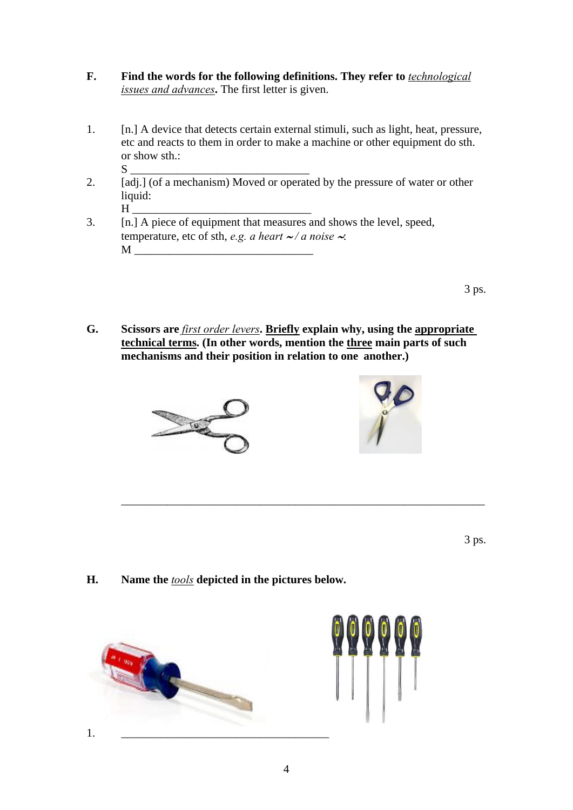- **F. Find the words for the following definitions. They refer to** *technological issues and advances***.** The first letter is given.
- 1. [n.] A device that detects certain external stimuli, such as light, heat, pressure, etc and reacts to them in order to make a machine or other equipment do sth. or show sth.: S \_\_\_\_\_\_\_\_\_\_\_\_\_\_\_\_\_\_\_\_\_\_\_\_\_\_\_\_\_\_\_
- 2. [adj.] (of a mechanism) Moved or operated by the pressure of water or other liquid:
- H \_\_\_\_\_\_\_\_\_\_\_\_\_\_\_\_\_\_\_\_\_\_\_\_\_\_\_\_\_\_\_ 3. [n.] A piece of equipment that measures and shows the level, speed, temperature, etc of sth, *e.g. a heart* ∼ */ a noise* ∼:  $M$

 $3 \text{ ps.}$ 

**G. Scissors are** *first order levers***. Briefly explain why, using the appropriate technical terms. (In other words, mention the three main parts of such mechanisms and their position in relation to one another.)** 

\_\_\_\_\_\_\_\_\_\_\_\_\_\_\_\_\_\_\_\_\_\_\_\_\_\_\_\_\_\_\_\_\_\_\_\_\_\_\_\_\_\_\_\_\_\_\_\_\_\_\_\_\_\_\_\_\_\_\_\_\_\_\_





 $3 \text{ ps.}$ 

**H. Name the** *tools* **depicted in the pictures below.** 

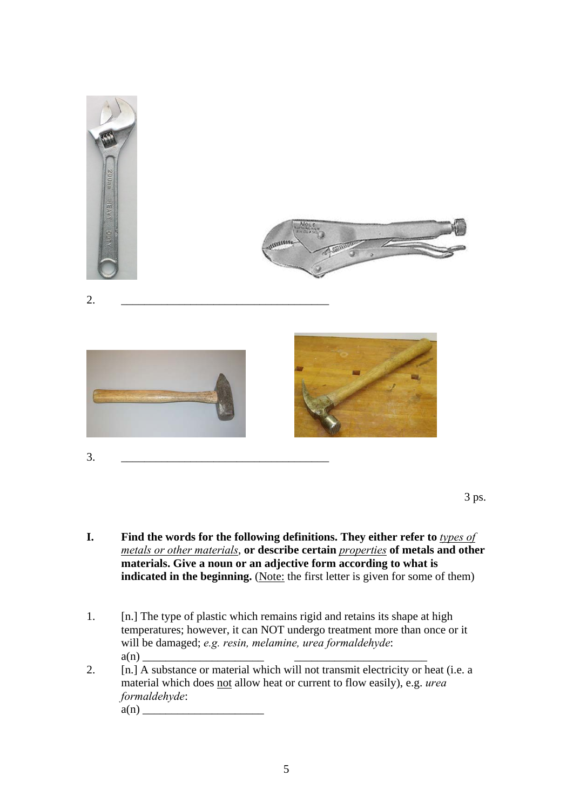

3 ps.

- **I. Find the words for the following definitions. They either refer to** *types of metals or other materials*, **or describe certain** *properties* **of metals and other materials. Give a noun or an adjective form according to what is indicated in the beginning.** (Note: the first letter is given for some of them)
- 1. [n.] The type of plastic which remains rigid and retains its shape at high temperatures; however, it can NOT undergo treatment more than once or it will be damaged; *e.g. resin, melamine, urea formaldehyde*: a(n) \_\_\_\_\_\_\_\_\_\_\_\_\_\_\_\_\_\_\_\_\_ \_\_\_\_\_\_\_\_\_\_\_\_\_\_\_\_\_\_\_\_\_\_\_
- 2. [n.] A substance or material which will not transmit electricity or heat (i.e. a material which does not allow heat or current to flow easily), e.g. *urea formaldehyde*:

 $a(n)$